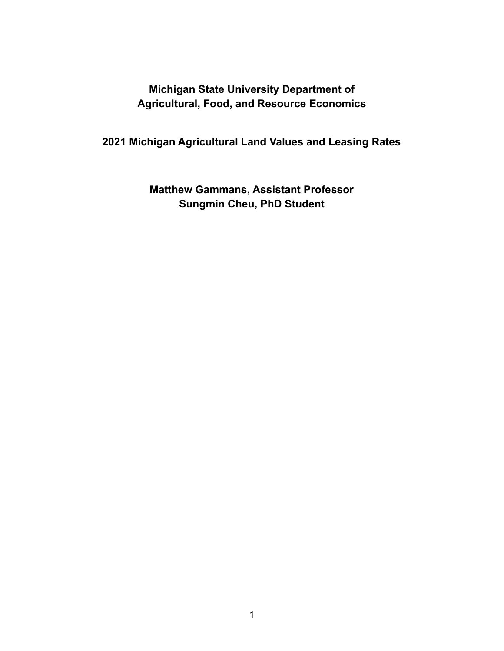## **Michigan State University Department of Agricultural, Food, and Resource Economics**

**2021 Michigan Agricultural Land Values and Leasing Rates**

**Matthew Gammans, Assistant Professor Sungmin Cheu, PhD Student**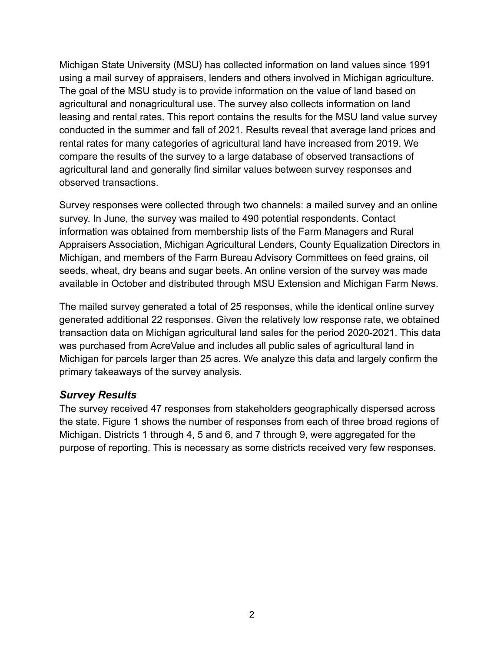Michigan State University (MSU) has collected information on land values since 1991 using a mail survey of appraisers, lenders and others involved in Michigan agriculture. The goal of the MSU study is to provide information on the value of land based on agricultural and nonagricultural use. The survey also collects information on land leasing and rental rates. This report contains the results for the MSU land value survey conducted in the summer and fall of 2021. Results reveal that average land prices and rental rates for many categories of agricultural land have increased from 2019. We compare the results of the survey to a large database of observed transactions of agricultural land and generally find similar values between survey responses and observed transactions.

Survey responses were collected through two channels: a mailed survey and an online survey. In June, the survey was mailed to 490 potential respondents. Contact information was obtained from membership lists of the Farm Managers and Rural Appraisers Association, Michigan Agricultural Lenders, County Equalization Directors in Michigan, and members of the Farm Bureau Advisory Committees on feed grains, oil seeds, wheat, dry beans and sugar beets. An online version of the survey was made available in October and distributed through MSU Extension and Michigan Farm News.

The mailed survey generated a total of 25 responses, while the identical online survey generated additional 22 responses. Given the relatively low response rate, we obtained transaction data on Michigan agricultural land sales for the period 2020-2021. This data was purchased from AcreValue and includes all public sales of agricultural land in Michigan for parcels larger than 25 acres. We analyze this data and largely confirm the primary takeaways of the survey analysis.

## *Survey Results*

The survey received 47 responses from stakeholders geographically dispersed across the state. Figure 1 shows the number of responses from each of three broad regions of Michigan. Districts 1 through 4, 5 and 6, and 7 through 9, were aggregated for the purpose of reporting. This is necessary as some districts received very few responses.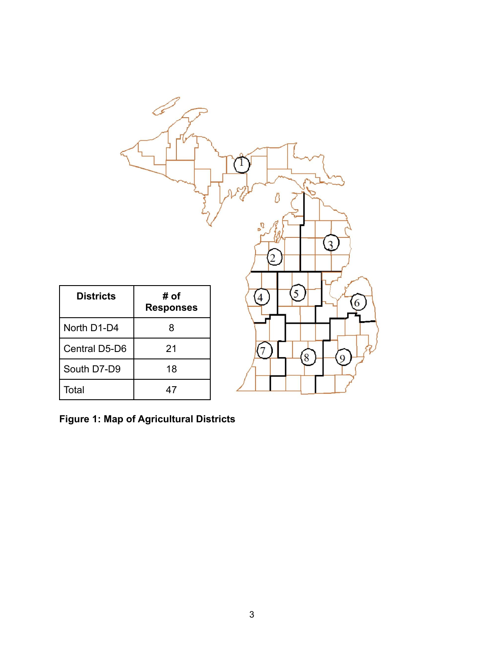

**Figure 1: Map of Agricultural Districts**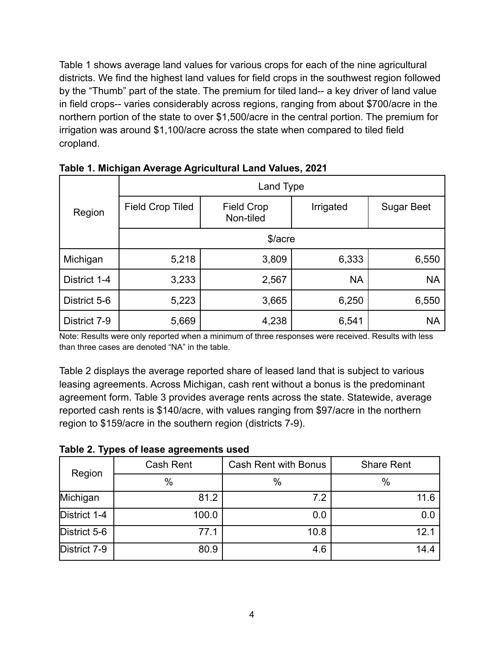Table 1 shows average land values for various crops for each of the nine agricultural districts. We find the highest land values for field crops in the southwest region followed by the "Thumb" part of the state. The premium for tiled land-- a key driver of land value in field crops-- varies considerably across regions, ranging from about \$700/acre in the northern portion of the state to over \$1,500/acre in the central portion. The premium for irrigation was around \$1,100/acre across the state when compared to tiled field cropland.

|              | Land Type                                                              |       |                   |           |  |  |  |  |  |
|--------------|------------------------------------------------------------------------|-------|-------------------|-----------|--|--|--|--|--|
| Region       | <b>Field Crop Tiled</b><br>Irrigated<br><b>Field Crop</b><br>Non-tiled |       | <b>Sugar Beet</b> |           |  |  |  |  |  |
|              | \$/acre                                                                |       |                   |           |  |  |  |  |  |
| Michigan     | 5,218                                                                  | 3,809 | 6,333             | 6,550     |  |  |  |  |  |
| District 1-4 | 3,233                                                                  | 2,567 | <b>NA</b>         | <b>NA</b> |  |  |  |  |  |
| District 5-6 | 5,223                                                                  | 3,665 | 6,250             | 6,550     |  |  |  |  |  |
| District 7-9 | 5,669                                                                  | 4,238 | 6,541             | <b>NA</b> |  |  |  |  |  |

**Table 1. Michigan Average Agricultural Land Values, 2021**

Note: Results were only reported when a minimum of three responses were received. Results with less than three cases are denoted "NA" in the table.

Table 2 displays the average reported share of leased land that is subject to various leasing agreements. Across Michigan, cash rent without a bonus is the predominant agreement form. Table 3 provides average rents across the state. Statewide, average reported cash rents is \$140/acre, with values ranging from \$97/acre in the northern region to \$159/acre in the southern region (districts 7-9).

**Table 2. Types of lease agreements used**

| Region       | Cash Rent | Cash Rent with Bonus | <b>Share Rent</b> |
|--------------|-----------|----------------------|-------------------|
|              | $\%$      | $\%$                 | $\%$              |
| Michigan     | 81.2      | 7.2                  | 11.6              |
| District 1-4 | 100.0     | 0.0                  | 0.0               |
| District 5-6 | 77.1      | 10.8                 | 12.1              |
| District 7-9 | 80.9      | 4.6                  | 14.4              |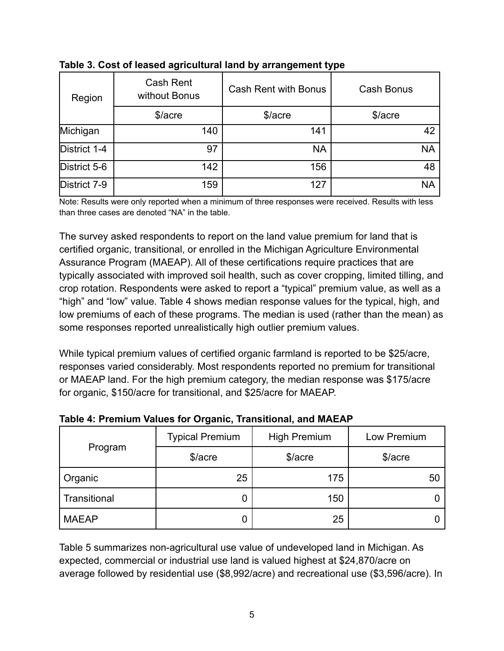| Region       | <b>Cash Rent</b><br>without Bonus | <b>Cash Rent with Bonus</b> | Cash Bonus |
|--------------|-----------------------------------|-----------------------------|------------|
|              | \$/acre                           | \$/acre                     | \$/acre    |
| Michigan     | 140                               | 141                         | 42         |
| District 1-4 | 97                                | <b>NA</b>                   | <b>NA</b>  |
| District 5-6 | 142                               | 156                         | 48         |
| District 7-9 | 159                               | 127                         | <b>NA</b>  |

**Table 3. Cost of leased agricultural land by arrangement type**

Note: Results were only reported when a minimum of three responses were received. Results with less than three cases are denoted "NA" in the table.

The survey asked respondents to report on the land value premium for land that is certified organic, transitional, or enrolled in the Michigan Agriculture Environmental Assurance Program (MAEAP). All of these certifications require practices that are typically associated with improved soil health, such as cover cropping, limited tilling, and crop rotation. Respondents were asked to report a "typical" premium value, as well as a "high" and "low" value. Table 4 shows median response values for the typical, high, and low premiums of each of these programs. The median is used (rather than the mean) as some responses reported unrealistically high outlier premium values.

While typical premium values of certified organic farmland is reported to be \$25/acre, responses varied considerably. Most respondents reported no premium for transitional or MAEAP land. For the high premium category, the median response was \$175/acre for organic, \$150/acre for transitional, and \$25/acre for MAEAP.

|              | <b>Typical Premium</b> | <b>High Premium</b> | Low Premium |  |
|--------------|------------------------|---------------------|-------------|--|
| Program      | \$/acre                | \$/acre             | \$/acre     |  |
| Organic      | 25                     | 175                 | 50          |  |
| Transitional | U                      | 150                 |             |  |
| <b>MAEAP</b> | 0                      | 25                  |             |  |

**Table 4: Premium Values for Organic, Transitional, and MAEAP**

Table 5 summarizes non-agricultural use value of undeveloped land in Michigan. As expected, commercial or industrial use land is valued highest at \$24,870/acre on average followed by residential use (\$8,992/acre) and recreational use (\$3,596/acre). In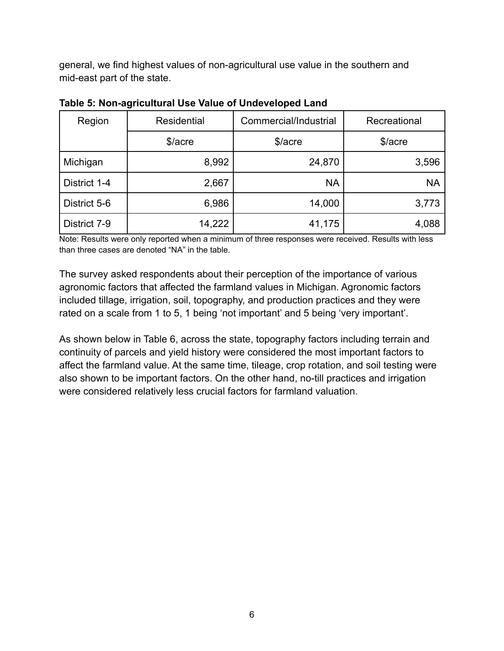general, we find highest values of non-agricultural use value in the southern and mid-east part of the state.

| Region       | Residential | Commercial/Industrial | Recreational |  |
|--------------|-------------|-----------------------|--------------|--|
|              | \$/acre     | \$/acre               | \$/acre      |  |
| Michigan     | 8,992       | 24,870                | 3,596        |  |
| District 1-4 | 2,667       | <b>NA</b>             | <b>NA</b>    |  |
| District 5-6 | 6,986       | 14,000                | 3,773        |  |
| District 7-9 | 14,222      | 41,175                | 4,088        |  |

**Table 5: Non-agricultural Use Value of Undeveloped Land**

Note: Results were only reported when a minimum of three responses were received. Results with less than three cases are denoted "NA" in the table.

The survey asked respondents about their perception of the importance of various agronomic factors that affected the farmland values in Michigan. Agronomic factors included tillage, irrigation, soil, topography, and production practices and they were rated on a scale from 1 to 5, 1 being 'not important' and 5 being 'very important'.

As shown below in Table 6, across the state, topography factors including terrain and continuity of parcels and yield history were considered the most important factors to affect the farmland value. At the same time, tileage, crop rotation, and soil testing were also shown to be important factors. On the other hand, no-till practices and irrigation were considered relatively less crucial factors for farmland valuation.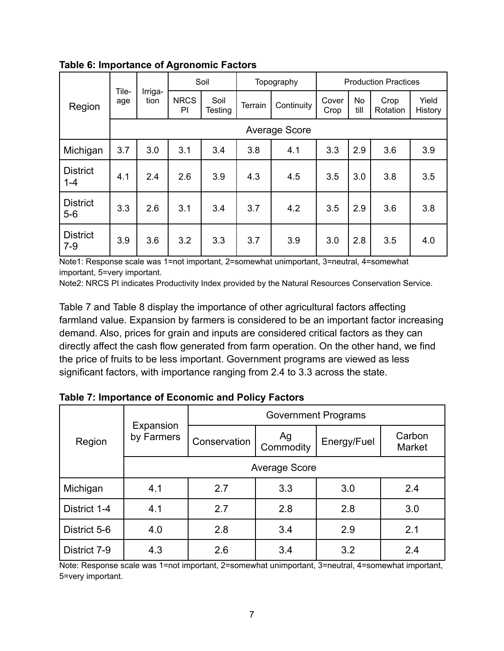|                            |                                 |                   |                 | Soil    |            | Topography    |                   |                  | <b>Production Practices</b> |     |
|----------------------------|---------------------------------|-------------------|-----------------|---------|------------|---------------|-------------------|------------------|-----------------------------|-----|
| Region                     | Tile-<br>Irriga-<br>tion<br>age | <b>NRCS</b><br>PI | Soil<br>Testing | Terrain | Continuity | Cover<br>Crop | <b>No</b><br>till | Crop<br>Rotation | Yield<br>History            |     |
| <b>Average Score</b>       |                                 |                   |                 |         |            |               |                   |                  |                             |     |
| Michigan                   | 3.7                             | 3.0               | 3.1             | 3.4     | 3.8        | 4.1           | 3.3               | 2.9              | 3.6                         | 3.9 |
| <b>District</b><br>$1 - 4$ | 4.1                             | 2.4               | 2.6             | 3.9     | 4.3        | 4.5           | 3.5               | 3.0              | 3.8                         | 3.5 |
| <b>District</b><br>$5-6$   | 3.3                             | 2.6               | 3.1             | 3.4     | 3.7        | 4.2           | 3.5               | 2.9              | 3.6                         | 3.8 |
| <b>District</b><br>$7-9$   | 3.9                             | 3.6               | 3.2             | 3.3     | 3.7        | 3.9           | 3.0               | 2.8              | 3.5                         | 4.0 |

**Table 6: Importance of Agronomic Factors**

Note1: Response scale was 1=not important, 2=somewhat unimportant, 3=neutral, 4=somewhat important, 5=very important.

Note2: NRCS PI indicates Productivity Index provided by the Natural Resources Conservation Service.

Table 7 and Table 8 display the importance of other agricultural factors affecting farmland value. Expansion by farmers is considered to be an important factor increasing demand. Also, prices for grain and inputs are considered critical factors as they can directly affect the cash flow generated from farm operation. On the other hand, we find the price of fruits to be less important. Government programs are viewed as less significant factors, with importance ranging from 2.4 to 3.3 across the state.

| Region       |                         | <b>Government Programs</b> |                 |             |                  |  |  |  |
|--------------|-------------------------|----------------------------|-----------------|-------------|------------------|--|--|--|
|              | Expansion<br>by Farmers | Conservation               | Ag<br>Commodity | Energy/Fuel | Carbon<br>Market |  |  |  |
|              | <b>Average Score</b>    |                            |                 |             |                  |  |  |  |
| Michigan     | 4.1                     | 2.7                        | 3.3             | 3.0         | 2.4              |  |  |  |
| District 1-4 | 4.1                     | 2.7                        | 2.8             | 2.8         | 3.0              |  |  |  |
| District 5-6 | 4.0                     | 2.8                        | 3.4             | 2.9         | 2.1              |  |  |  |
| District 7-9 | 4.3                     | 2.6                        | 3.4             | 3.2         | 2.4              |  |  |  |

**Table 7: Importance of Economic and Policy Factors**

Note: Response scale was 1=not important, 2=somewhat unimportant, 3=neutral, 4=somewhat important, 5=very important.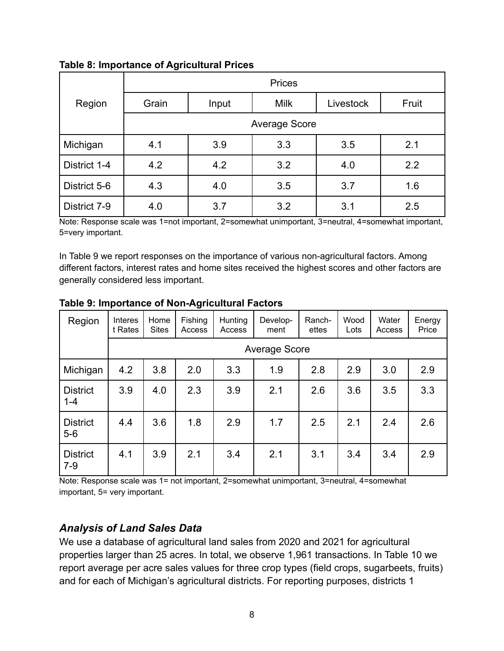|              | Prices |                      |             |           |       |  |  |  |  |
|--------------|--------|----------------------|-------------|-----------|-------|--|--|--|--|
| Region       | Grain  | Input                | <b>Milk</b> | Livestock | Fruit |  |  |  |  |
|              |        | <b>Average Score</b> |             |           |       |  |  |  |  |
| Michigan     | 4.1    | 3.9                  | 3.3         | 3.5       | 2.1   |  |  |  |  |
| District 1-4 | 4.2    | 4.2                  | 3.2         | 4.0       | 2.2   |  |  |  |  |
| District 5-6 | 4.3    | 4.0                  | 3.5         | 3.7       | 1.6   |  |  |  |  |
| District 7-9 | 4.0    | 3.7                  | 3.2         | 3.1       | 2.5   |  |  |  |  |

**Table 8: Importance of Agricultural Prices**

Note: Response scale was 1=not important, 2=somewhat unimportant, 3=neutral, 4=somewhat important, 5=very important.

In Table 9 we report responses on the importance of various non-agricultural factors. Among different factors, interest rates and home sites received the highest scores and other factors are generally considered less important.

| Region                     | <b>Interes</b><br>t Rates | Home<br><b>Sites</b> | Fishing<br>Access | Hunting<br>Access | Develop-<br>ment     | Ranch-<br>ettes | Wood<br>Lots | Water<br>Access | Energy<br>Price |
|----------------------------|---------------------------|----------------------|-------------------|-------------------|----------------------|-----------------|--------------|-----------------|-----------------|
|                            |                           |                      |                   |                   | <b>Average Score</b> |                 |              |                 |                 |
| Michigan                   | 4.2                       | 3.8                  | 2.0               | 3.3               | 1.9                  | 2.8             | 2.9          | 3.0             | 2.9             |
| <b>District</b><br>$1 - 4$ | 3.9                       | 4.0                  | 2.3               | 3.9               | 2.1                  | 2.6             | 3.6          | 3.5             | 3.3             |
| <b>District</b><br>$5-6$   | 4.4                       | 3.6                  | 1.8               | 2.9               | 1.7                  | 2.5             | 2.1          | 2.4             | 2.6             |
| <b>District</b><br>$7-9$   | 4.1                       | 3.9                  | 2.1               | 3.4               | 2.1                  | 3.1             | 3.4          | 3.4             | 2.9             |

**Table 9: Importance of Non-Agricultural Factors**

Note: Response scale was 1= not important, 2=somewhat unimportant, 3=neutral, 4=somewhat important, 5= very important.

## *Analysis of Land Sales Data*

We use a database of agricultural land sales from 2020 and 2021 for agricultural properties larger than 25 acres. In total, we observe 1,961 transactions. In Table 10 we report average per acre sales values for three crop types (field crops, sugarbeets, fruits) and for each of Michigan's agricultural districts. For reporting purposes, districts 1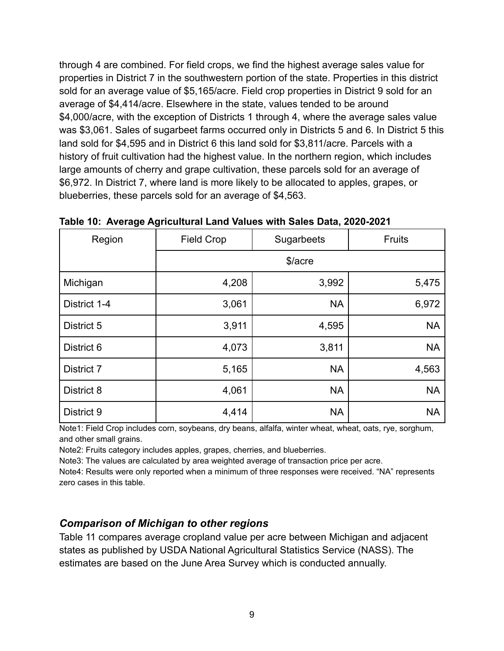through 4 are combined. For field crops, we find the highest average sales value for properties in District 7 in the southwestern portion of the state. Properties in this district sold for an average value of \$5,165/acre. Field crop properties in District 9 sold for an average of \$4,414/acre. Elsewhere in the state, values tended to be around \$4,000/acre, with the exception of Districts 1 through 4, where the average sales value was \$3,061. Sales of sugarbeet farms occurred only in Districts 5 and 6. In District 5 this land sold for \$4,595 and in District 6 this land sold for \$3,811/acre. Parcels with a history of fruit cultivation had the highest value. In the northern region, which includes large amounts of cherry and grape cultivation, these parcels sold for an average of \$6,972. In District 7, where land is more likely to be allocated to apples, grapes, or blueberries, these parcels sold for an average of \$4,563.

| Region            | <b>Field Crop</b> | Sugarbeets | Fruits    |  |  |  |  |  |
|-------------------|-------------------|------------|-----------|--|--|--|--|--|
|                   | \$/acre           |            |           |  |  |  |  |  |
| Michigan          | 4,208             | 3,992      | 5,475     |  |  |  |  |  |
| District 1-4      | 3,061             | <b>NA</b>  | 6,972     |  |  |  |  |  |
| District 5        | 3,911             | 4,595      | <b>NA</b> |  |  |  |  |  |
| District 6        | 4,073             | 3,811      | <b>NA</b> |  |  |  |  |  |
| <b>District 7</b> | 5,165             | <b>NA</b>  | 4,563     |  |  |  |  |  |
| District 8        | 4,061             | <b>NA</b>  | <b>NA</b> |  |  |  |  |  |
| District 9        | 4,414             | <b>NA</b>  | <b>NA</b> |  |  |  |  |  |

**Table 10: Average Agricultural Land Values with Sales Data, 2020-2021**

Note1: Field Crop includes corn, soybeans, dry beans, alfalfa, winter wheat, wheat, oats, rye, sorghum, and other small grains.

Note2: Fruits category includes apples, grapes, cherries, and blueberries.

Note3: The values are calculated by area weighted average of transaction price per acre.

Note4: Results were only reported when a minimum of three responses were received. "NA" represents zero cases in this table.

## *Comparison of Michigan to other regions*

Table 11 compares average cropland value per acre between Michigan and adjacent states as published by USDA National Agricultural Statistics Service (NASS). The estimates are based on the June Area Survey which is conducted annually.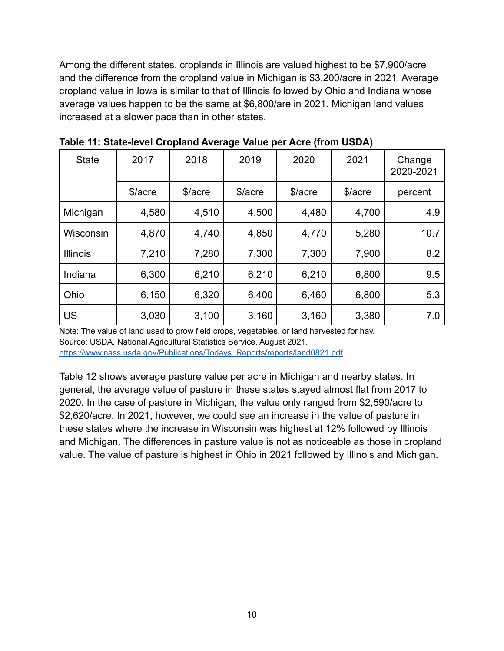Among the different states, croplands in Illinois are valued highest to be \$7,900/acre and the difference from the cropland value in Michigan is \$3,200/acre in 2021. Average cropland value in Iowa is similar to that of Illinois followed by Ohio and Indiana whose average values happen to be the same at \$6,800/are in 2021. Michigan land values increased at a slower pace than in other states.

| <b>State</b>    | 2017    | 2018    | 2019    | 2020    | 2021    | Change<br>2020-2021 |
|-----------------|---------|---------|---------|---------|---------|---------------------|
|                 | \$/acre | \$/acre | \$/acre | \$/acre | \$/acre | percent             |
| Michigan        | 4,580   | 4,510   | 4,500   | 4,480   | 4,700   | 4.9                 |
| Wisconsin       | 4,870   | 4,740   | 4,850   | 4,770   | 5,280   | 10.7                |
| <b>Illinois</b> | 7,210   | 7,280   | 7,300   | 7,300   | 7,900   | 8.2                 |
| Indiana         | 6,300   | 6,210   | 6,210   | 6,210   | 6,800   | 9.5                 |
| Ohio            | 6,150   | 6,320   | 6,400   | 6,460   | 6,800   | 5.3                 |
| US              | 3,030   | 3,100   | 3,160   | 3,160   | 3,380   | 7.0                 |

**Table 11: State-level Cropland Average Value per Acre (from USDA)**

Note: The value of land used to grow field crops, vegetables, or land harvested for hay. Source: USDA. National Agricultural Statistics Service. August 2021. [https://www.nass.usda.gov/Publications/Todays\\_Reports/reports/land0821.pdf.](https://www.nass.usda.gov/Publications/Todays_Reports/reports/land0821.pdf)

Table 12 shows average pasture value per acre in Michigan and nearby states. In general, the average value of pasture in these states stayed almost flat from 2017 to 2020. In the case of pasture in Michigan, the value only ranged from \$2,590/acre to \$2,620/acre. In 2021, however, we could see an increase in the value of pasture in these states where the increase in Wisconsin was highest at 12% followed by Illinois and Michigan. The differences in pasture value is not as noticeable as those in cropland value. The value of pasture is highest in Ohio in 2021 followed by Illinois and Michigan.